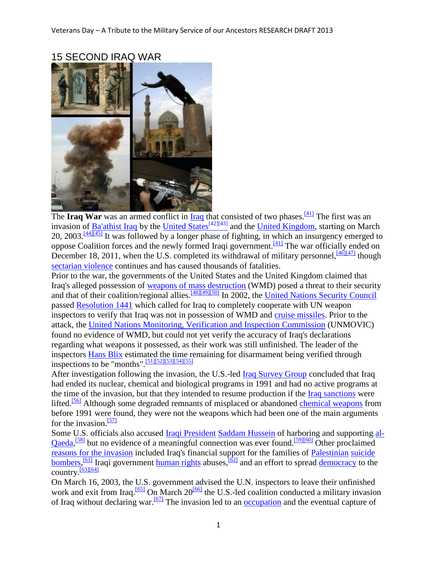

### 15 SECOND IRAQ WAR

The **Iraq War** was an armed conflict in **Iraq** that consisted of two phases.<sup>[\[41\]](http://en.wikipedia.org/wiki/Iraq_War#cite_note-Britannica-40)</sup> The first was an invasion of [Ba'athist Iraq](http://en.wikipedia.org/wiki/Ba%27athist_Iraq) by the [United States](http://en.wikipedia.org/wiki/United_States)<sup>[\[42\]](http://en.wikipedia.org/wiki/United_States)[\[43\]](http://en.wikipedia.org/wiki/Iraq_War#cite_note-42)</sup> and the [United Kingdom,](http://en.wikipedia.org/wiki/United_Kingdom) starting on March 20, 2003.<sup>[\[44\]\[45\]](http://en.wikipedia.org/wiki/Iraq_War#cite_note-PBS-20040226-43)</sup> It was followed by a longer phase of fighting, in which an insurgency emerged to oppose Coalition forces and the newly formed Iraqi government.[\[41\]](http://en.wikipedia.org/wiki/Iraq_War#cite_note-Britannica-40) The war officially ended on December 18, 2011, when the U.S. completed its withdrawal of military personnel,  $\frac{46[47]}{140[47]}$  though [sectarian violence](http://en.wikipedia.org/wiki/Iraqi_insurgency_(post_U.S._withdrawal)) continues and has caused thousands of fatalities.

Prior to the war, the governments of the United States and the United Kingdom claimed that Iraq's alleged possession of [weapons of mass destruction](http://en.wikipedia.org/wiki/Iraq_and_weapons_of_mass_destruction) (WMD) posed a threat to their security and that of their coalition/regional allies.<sup>[\[48\]\[49\]](http://en.wikipedia.org/wiki/Iraq_War#cite_note-47)[\[50\]](http://en.wikipedia.org/wiki/Iraq_War#cite_note-49)</sup> In 2002, the [United Nations Security Council](http://en.wikipedia.org/wiki/United_Nations_Security_Council) passed [Resolution 1441](http://en.wikipedia.org/wiki/Resolution_1441) which called for Iraq to completely cooperate with UN weapon inspectors to verify that Iraq was not in possession of WMD and [cruise missiles.](http://en.wikipedia.org/wiki/Cruise_missile) Prior to the attack, the [United Nations Monitoring, Verification and Inspection Commission](http://en.wikipedia.org/wiki/United_Nations_Monitoring,_Verification_and_Inspection_Commission) (UNMOVIC) found no evidence of WMD, but could not yet verify the accuracy of Iraq's declarations regarding what weapons it possessed, as their work was still unfinished. The leader of the inspectors **Hans Blix** estimated the time remaining for disarmament being verified through inspections to be "months".[\[51\]\[52\]](http://en.wikipedia.org/wiki/Iraq_War#cite_note-blix1-50)[\[53\]\[54\]](http://en.wikipedia.org/wiki/Iraq_War#cite_note-52)[\[55\]](http://en.wikipedia.org/wiki/Iraq_War#cite_note-54)

After investigation following the invasion, the U.S.-led [Iraq Survey Group](http://en.wikipedia.org/wiki/Iraq_Survey_Group) concluded that Iraq had ended its nuclear, chemical and biological programs in 1991 and had no active programs at the time of the invasion, but that they intended to resume production if the [Iraq sanctions](http://en.wikipedia.org/wiki/Iraq_sanctions) were lifted.<sup>[\[56\]](http://en.wikipedia.org/wiki/Iraq_War#cite_note-55)</sup> Although some degraded remnants of misplaced or abandoned [chemical weapons](http://en.wikipedia.org/wiki/Chemical_weapons) from before 1991 were found, they were not the weapons which had been one of the main arguments for the invasion. $\frac{571}{2}$ 

Some U.S. officials also accused **Iraqi President [Saddam Hussein](http://en.wikipedia.org/wiki/Saddam_Hussein)** of harboring and supporting [al-](http://en.wikipedia.org/wiki/Al-Qaeda)[Qaeda,](http://en.wikipedia.org/wiki/Al-Qaeda)<sup>[\[58\]](http://en.wikipedia.org/wiki/Iraq_War#cite_note-57)</sup> but no evidence of a meaningful connection was ever found.<sup>[\[59\]\[60\]](http://en.wikipedia.org/wiki/Iraq_War#cite_note-58)</sup> Other proclaimed [reasons for the invasion](http://en.wikipedia.org/wiki/Rationale_for_the_Iraq_War) included Iraq's financial support for the families of [Palestinian](http://en.wikipedia.org/wiki/Palestinian_people) [suicide](http://en.wikipedia.org/wiki/Suicide_bomber)  [bombers,](http://en.wikipedia.org/wiki/Suicide_bomber) <sup>[\[61\]](http://en.wikipedia.org/wiki/Iraq_War#cite_note-60)</sup> Iraqi government [human rights](http://en.wikipedia.org/wiki/Human_rights_in_Saddam_Hussein%27s_Iraq) abuses, <sup>[\[62\]](http://en.wikipedia.org/wiki/Iraq_War#cite_note-61)</sup> and an effort to spread [democracy](http://en.wikipedia.org/wiki/Democracy) to the country.<sup>[\[63\]\[64\]](http://en.wikipedia.org/wiki/Iraq_War#cite_note-62)</sup>

On March 16, 2003, the U.S. government advised the U.N. inspectors to leave their unfinished work and exit from Iraq.<sup>[\[65\]](http://en.wikipedia.org/wiki/Iraq_War#cite_note-64)</sup> On March  $20^{66}$  the U.S.-led coalition conducted a military invasion of Iraq without declaring war.<sup>[\[67\]](http://en.wikipedia.org/wiki/Iraq_War#cite_note-decl-66)</sup> The invasion led to an <u>occupation</u> and the eventual capture of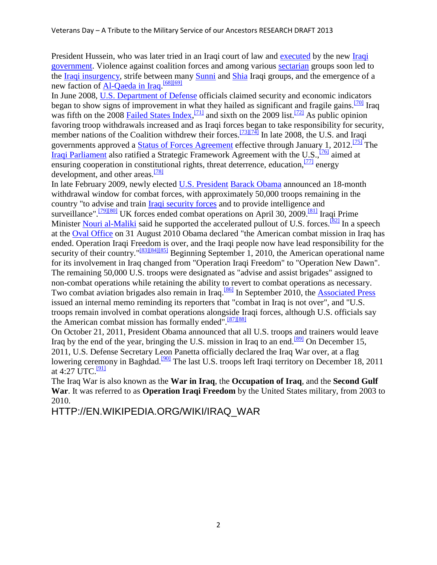President Hussein, who was later tried in an Iraqi court of law and [executed](http://en.wikipedia.org/wiki/Execution_of_Saddam_Hussein) by the new [Iraqi](http://en.wikipedia.org/wiki/Iraqi_government)  [government.](http://en.wikipedia.org/wiki/Iraqi_government) Violence against coalition forces and among various [sectarian](http://en.wikipedia.org/wiki/Sectarian) groups soon led to the [Iraqi insurgency,](http://en.wikipedia.org/wiki/Iraqi_insurgency) strife between many [Sunni](http://en.wikipedia.org/wiki/Sunni_Islam) and [Shia](http://en.wikipedia.org/wiki/Shia_Islam) Iraqi groups, and the emergence of a new faction of [Al-Qaeda in Iraq.](http://en.wikipedia.org/wiki/Al-Qaeda_in_Iraq) [\[68\]\[69\]](http://en.wikipedia.org/wiki/Iraq_War#cite_note-67)

In June 2008, [U.S. Department of Defense](http://en.wikipedia.org/wiki/U.S._Department_of_Defense) officials claimed security and economic indicators began to show signs of improvement in what they hailed as significant and fragile gains.<sup>[\[70\]](http://en.wikipedia.org/wiki/Iraq_War#cite_note-69)</sup> Iraq was fifth on the 2008 [Failed States Index,](http://en.wikipedia.org/wiki/Failed_States_Index)<sup>[\[71\]](http://en.wikipedia.org/wiki/Iraq_War#cite_note-70)</sup> and sixth on the 2009 list.<sup>[\[72\]](http://en.wikipedia.org/wiki/Iraq_War#cite_note-71)</sup> As public opinion favoring troop withdrawals increased and as Iraqi forces began to take responsibility for security, member nations of the Coalition withdrew their forces.<sup>[\[73\]\[74\]](http://en.wikipedia.org/wiki/Iraq_War#cite_note-72)</sup> In late 2008, the U.S. and Iraqi governments approved a [Status of Forces Agreement](http://en.wikipedia.org/wiki/U.S.-Iraq_Status_of_Forces_Agreement) effective through January 1, 2012.<sup>[\[75\]](http://en.wikipedia.org/wiki/Iraq_War#cite_note-74)</sup> The [Iraqi Parliament](http://en.wikipedia.org/wiki/Iraqi_Parliament) also ratified a Strategic Framework Agreement with the U.S.,[\[76\]](http://en.wikipedia.org/wiki/Iraq_War#cite_note-sfatext-75) aimed at ensuring cooperation in constitutional rights, threat deterrence, education, $\frac{[77]}{[77]}$  $\frac{[77]}{[77]}$  $\frac{[77]}{[77]}$  energy development, and other areas.<sup>[\[78\]](http://en.wikipedia.org/wiki/Iraq_War#cite_note-cnnsofa-77)</sup>

In late February 2009, newly elected [U.S. President](http://en.wikipedia.org/wiki/President_of_the_United_States) [Barack Obama](http://en.wikipedia.org/wiki/Barack_Obama) announced an 18-month withdrawal window for combat forces, with approximately 50,000 troops remaining in the country "to advise and train [Iraqi security forces](http://en.wikipedia.org/wiki/Iraqi_security_forces) and to provide intelligence and surveillance".<sup>[\[79\]\[80\]](http://en.wikipedia.org/wiki/Iraq_War#cite_note-78)</sup> UK forces ended combat operations on April 30, 2009.<sup>[\[81\]](http://en.wikipedia.org/wiki/Iraq_War#cite_note-britpullouttoday-80)</sup> Iraqi Prime Minister [Nouri al-Maliki](http://en.wikipedia.org/wiki/Nouri_al-Maliki) said he supported the accelerated pullout of U.S. forces.<sup>[\[82\]](http://en.wikipedia.org/wiki/Iraq_War#cite_note-81)</sup> In a speech at the [Oval Office](http://en.wikipedia.org/wiki/Oval_Office) on 31 August 2010 Obama declared "the American combat mission in Iraq has ended. Operation Iraqi Freedom is over, and the Iraqi people now have lead responsibility for the security of their country."<sup>[\[83\]\[84\]](http://en.wikipedia.org/wiki/Iraq_War#cite_note-82)[\[85\]](http://en.wikipedia.org/wiki/Iraq_War#cite_note-84)</sup> Beginning September 1, 2010, the American operational name for its involvement in Iraq changed from "Operation Iraqi Freedom" to "Operation New Dawn". The remaining 50,000 U.S. troops were designated as "advise and assist brigades" assigned to non-combat operations while retaining the ability to revert to combat operations as necessary. Two combat aviation brigades also remain in Iraq.[\[86\]](http://en.wikipedia.org/wiki/Iraq_War#cite_note-85) In September 2010, the [Associated Press](http://en.wikipedia.org/wiki/Associated_Press) issued an internal memo reminding its reporters that "combat in Iraq is not over", and "U.S. troops remain involved in combat operations alongside Iraqi forces, although U.S. officials say the American combat mission has formally ended". $\frac{[87][88]}{[87][88]}$  $\frac{[87][88]}{[87][88]}$  $\frac{[87][88]}{[87][88]}$ 

On October 21, 2011, President Obama announced that all U.S. troops and trainers would leave Iraq by the end of the year, bringing the U.S. mission in Iraq to an end.<sup>[\[89\]](http://en.wikipedia.org/wiki/Iraq_War#cite_note-LeaveIn2011-88)</sup> On December 15, 2011, U.S. Defense Secretary Leon Panetta officially declared the Iraq War over, at a flag lowering ceremony in Baghdad.<sup>[\[90\]](http://en.wikipedia.org/wiki/Iraq_War#cite_note-U.S._war_in_Iraq_officially_ends-89)</sup> The last U.S. troops left Iraqi territory on December 18, 2011 at 4:27 UTC.<sup>[\[91\]](http://en.wikipedia.org/wiki/Iraq_War#cite_note-Deadly_Iraq_War_ends_with_exit_of_last_U.S..C2.A0troops-90)</sup>

The Iraq War is also known as the **War in Iraq**, the **Occupation of Iraq**, and the **Second Gulf War**. It was referred to as **Operation Iraqi Freedom** by the United States military, from 2003 to 2010.

HTTP://EN.WIKIPEDIA.ORG/WIKI/IRAQ\_WAR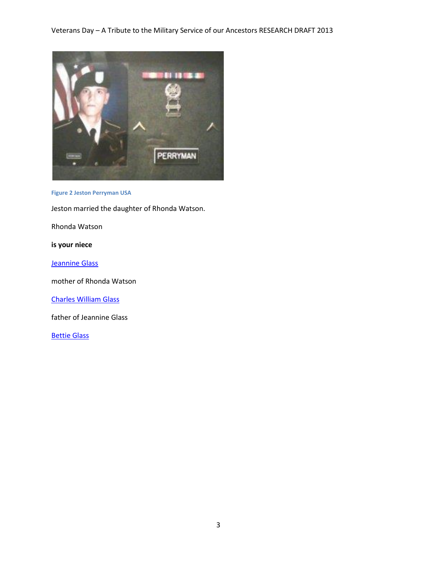

**Figure 2 Jeston Perryman USA**

Jeston married the daughter of Rhonda Watson.

Rhonda Watson

**is your niece**

[Jeannine Glass](http://trees.ancestry.com/tree/124473/person/1437184790) 

mother of Rhonda Watson

[Charles William Glass](http://trees.ancestry.com/tree/124473/person/-2122713439) 

father of Jeannine Glass

[Bettie Glass](http://trees.ancestry.com/tree/124473/person/-2122713440)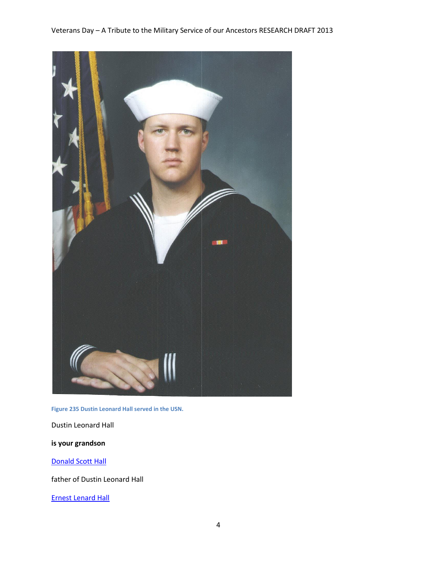

**Figure 235 Dustin Leonard Hall served in the USN.**

Dustin Leonard Hall

#### **is your grandson**

#### [Donald Scott Hall](http://trees.ancestry.com/tree/4253511/person/1034579807)

father of Dustin Leonard Hall

[Ernest Lenard Hall](http://trees.ancestry.com/tree/4253511/person/-1631096659)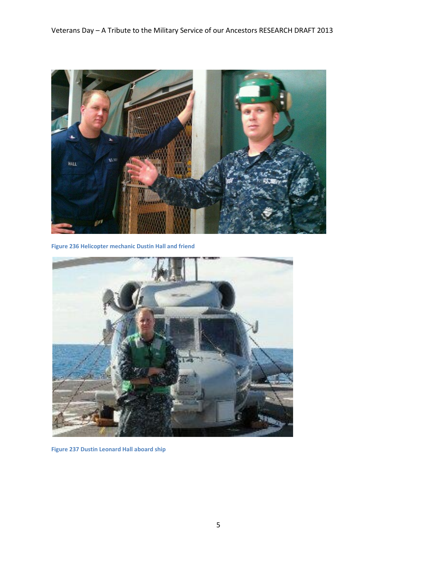

**Figure 236 Helicopter mechanic Dustin Hall and friend**



**Figure 237 Dustin Leonard Hall aboard ship**